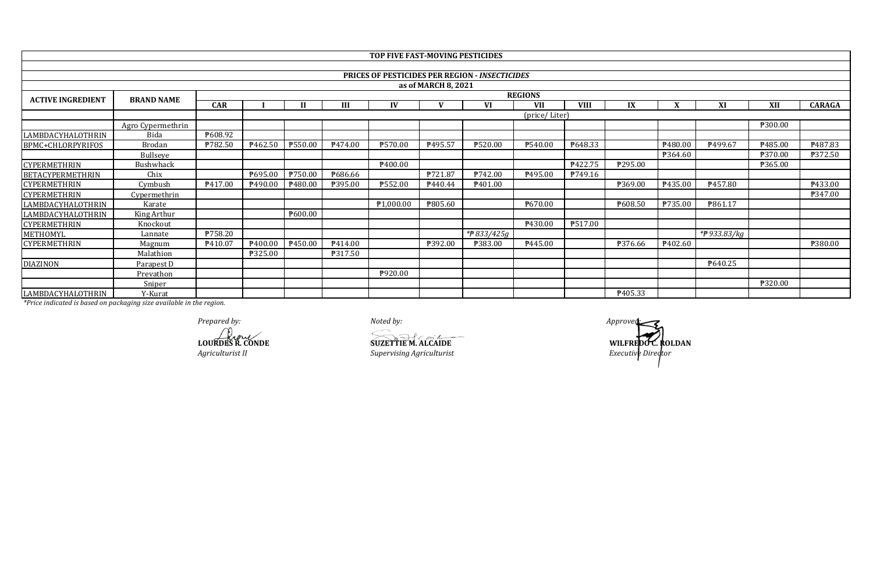|                          |                   |                |                     |                     |         | TOP FIVE FAST-MOVING PESTICIDES |                     |                                                       |                |                |                |                     |              |                     |                |
|--------------------------|-------------------|----------------|---------------------|---------------------|---------|---------------------------------|---------------------|-------------------------------------------------------|----------------|----------------|----------------|---------------------|--------------|---------------------|----------------|
|                          |                   |                |                     |                     |         |                                 |                     |                                                       |                |                |                |                     |              |                     |                |
|                          |                   |                |                     |                     |         |                                 |                     | <b>PRICES OF PESTICIDES PER REGION - INSECTICIDES</b> |                |                |                |                     |              |                     |                |
|                          |                   |                |                     |                     |         |                                 | as of MARCH 8, 2021 |                                                       |                |                |                |                     |              |                     |                |
| <b>ACTIVE INGREDIENT</b> | <b>BRAND NAME</b> |                |                     |                     |         |                                 |                     |                                                       | <b>REGIONS</b> |                |                |                     |              |                     |                |
|                          |                   | <b>CAR</b>     |                     |                     | Ш       | IV                              |                     | VI                                                    | <b>VII</b>     | <b>VIII</b>    | IX             |                     | XI           | XII                 | <b>CARAGA</b>  |
|                          |                   |                |                     | (price/ Liter)      |         |                                 |                     |                                                       |                |                |                |                     |              |                     |                |
|                          | Agro Cypermethrin |                |                     |                     |         |                                 |                     |                                                       |                |                |                |                     |              | ₱300.00             |                |
| LAMBDACYHALOTHRIN        | Bida              | P608.92        |                     |                     |         |                                 |                     |                                                       |                |                |                |                     |              |                     |                |
| BPMC+CHLORPYRIFOS        | <b>Brodan</b>     | <b>P782.50</b> | P <sub>462.50</sub> | P550.00             | P474.00 | ₱570.00                         | P495.57             | ₱520.00                                               | ₱540.00        | P648.33        |                | P <sub>480.00</sub> | P499.67      | P <sub>485.00</sub> | ₹487.83        |
|                          | Bullseye          |                |                     |                     |         |                                 |                     |                                                       |                |                |                | P364.60             |              | ₱370.00             | <b>P372.50</b> |
| <b>CYPERMETHRIN</b>      | Bushwhack         |                |                     |                     |         | P <sub>400.00</sub>             |                     |                                                       |                | P422.75        | P295.00        |                     |              | <b>P365.00</b>      |                |
| <b>BETACYPERMETHRIN</b>  | Chix              |                | ₱695.00             | P750.00             | P686.66 |                                 | ₱721.87             | P742.00                                               | P495.00        | P749.16        |                |                     |              |                     |                |
| <b>CYPERMETHRIN</b>      | Cymbush           | P417.00        | P490.00             | P <sub>480.00</sub> | ₱395.00 | ₱552.00                         | <b>₱440.44</b>      | P <sub>401.00</sub>                                   |                |                | ₱369.00        | P435.00             | P457.80      |                     | P433.00        |
| <b>CYPERMETHRIN</b>      | Cypermethrin      |                |                     |                     |         |                                 |                     |                                                       |                |                |                |                     |              |                     | <b>P347.00</b> |
| LAMBDACYHALOTHRIN        | Karate            |                |                     |                     |         | P1,000.00                       | P805.60             |                                                       | P670.00        |                | P608.50        | <b>P735.00</b>      | P861.17      |                     |                |
| LAMBDACYHALOTHRIN        | King Arthur       |                |                     | P600.00             |         |                                 |                     |                                                       |                |                |                |                     |              |                     |                |
| <b>CYPERMETHRIN</b>      | Knockout          |                |                     |                     |         |                                 |                     |                                                       | P430.00        | <b>P517.00</b> |                |                     |              |                     |                |
| METHOMYL                 | Lannate           | P758.20        |                     |                     |         |                                 |                     | *#833/425g                                            |                |                |                |                     | *# 933.83/kg |                     |                |
| <b>CYPERMETHRIN</b>      | Magnum            | P410.07        | P <sub>400.00</sub> | P450.00             | P414.00 |                                 | ₱392.00             | <b>P383.00</b>                                        | P445.00        |                | <b>P376.66</b> | P <sub>402.60</sub> |              |                     | <b>P380.00</b> |
|                          | Malathion         |                | ₱325.00             |                     | P317.50 |                                 |                     |                                                       |                |                |                |                     |              |                     |                |
| <b>DIAZINON</b>          | Parapest D        |                |                     |                     |         |                                 |                     |                                                       |                |                |                |                     | P640.25      |                     |                |
|                          | Prevathon         |                |                     |                     |         | P920.00                         |                     |                                                       |                |                |                |                     |              |                     |                |
|                          | Sniper            |                |                     |                     |         |                                 |                     |                                                       |                |                |                |                     |              | ₱320.00             |                |
| LAMBDACYHALOTHRIN        | Y-Kurat           |                |                     |                     |         |                                 |                     |                                                       |                |                | P405.33        |                     |              |                     |                |

*Prepared by:*<br> *Approved:*<br> **ADURDES R. CONDE**<br> **CONDES R. CONDE**<br> **CONDES REPAREMENTED CONDE** 

*Agriculturist II Supervising Agriculturist* **LOURDES R. CONDE SUZETTIE M. ALCAIDE**

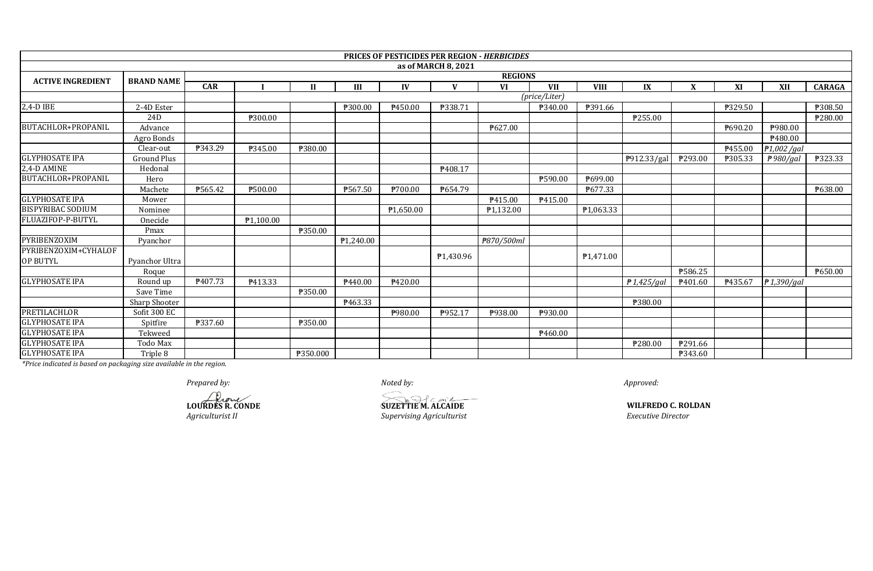|                           |                      |            |           |                |           |                        |                     | <b>PRICES OF PESTICIDES PER REGION - HERBICIDES</b> |                     |                        |                |                     |         |                       |               |
|---------------------------|----------------------|------------|-----------|----------------|-----------|------------------------|---------------------|-----------------------------------------------------|---------------------|------------------------|----------------|---------------------|---------|-----------------------|---------------|
|                           |                      |            |           |                |           |                        | as of MARCH 8, 2021 |                                                     |                     |                        |                |                     |         |                       |               |
| <b>ACTIVE INGREDIENT</b>  | <b>BRAND NAME</b>    |            |           |                |           |                        |                     | <b>REGIONS</b>                                      |                     |                        |                |                     |         |                       |               |
|                           |                      | <b>CAR</b> |           | $\mathbf{I}$   | III       | IV                     | $\mathbf{V}$        | <b>VI</b>                                           | <b>VII</b>          | <b>VIII</b>            | IX             | X                   | XI      | <b>XII</b>            | <b>CARAGA</b> |
|                           |                      |            |           |                |           |                        |                     |                                                     | (price/Liter)       |                        |                |                     |         |                       |               |
| 2,4-D IBE                 | 2-4D Ester           |            |           |                | ₱300.00   | P450.00                | ₱338.71             |                                                     | ₱340.00             | P391.66                |                |                     | ₱329.50 |                       | ₱308.50       |
|                           | 24 <sub>D</sub>      |            | ₱300.00   |                |           |                        |                     |                                                     |                     |                        | ₱255.00        |                     |         |                       | P280.00       |
| <b>BUTACHLOR+PROPANIL</b> | Advance              |            |           |                |           |                        |                     | ₱627.00                                             |                     |                        |                |                     | ₱690.20 | ₱980.00               |               |
|                           | Agro Bonds           |            |           |                |           |                        |                     |                                                     |                     |                        |                |                     |         | ₱480.00               |               |
|                           | Clear-out            | P343.29    | ₱345.00   | ₱380.00        |           |                        |                     |                                                     |                     |                        |                |                     | P455.00 | ₱1,002 /gal           |               |
| <b>GLYPHOSATE IPA</b>     | <b>Ground Plus</b>   |            |           |                |           |                        |                     |                                                     |                     |                        | ₱912.33/gal    | ₱293.00             | ₱305.33 | $\frac{1}{2}980$ /gal | ₱323.33       |
| 2,4-D AMINE               | Hedonal              |            |           |                |           |                        | P408.17             |                                                     |                     |                        |                |                     |         |                       |               |
| BUTACHLOR+PROPANIL        | Hero                 |            |           |                |           |                        |                     |                                                     | ₱590.00             | ₱699.00                |                |                     |         |                       |               |
|                           | Machete              | ₱565.42    | ₱500.00   |                | ₱567.50   | ₱700.00                | P654.79             |                                                     |                     | ₱677.33                |                |                     |         |                       | ₱638.00       |
| <b>GLYPHOSATE IPA</b>     | Mower                |            |           |                |           |                        |                     | P415.00                                             | P415.00             |                        |                |                     |         |                       |               |
| <b>BISPYRIBAC SODIUM</b>  | Nominee              |            |           |                |           | $\overline{P1,650.00}$ |                     | P <sub>1</sub> ,132.00                              |                     | P1,063.33              |                |                     |         |                       |               |
| FLUAZIFOP-P-BUTYL         | Onecide              |            | P1.100.00 |                |           |                        |                     |                                                     |                     |                        |                |                     |         |                       |               |
|                           | Pmax                 |            |           | ₱350.00        |           |                        |                     |                                                     |                     |                        |                |                     |         |                       |               |
| PYRIBENZOXIM              | Pyanchor             |            |           |                | ₱1,240.00 |                        |                     | ₱870/500ml                                          |                     |                        |                |                     |         |                       |               |
| PYRIBENZOXIM+CYHALOF      |                      |            |           |                |           |                        |                     |                                                     |                     |                        |                |                     |         |                       |               |
| <b>OP BUTYL</b>           | Pyanchor Ultra       |            |           |                |           |                        | ₱1,430.96           |                                                     |                     | P <sub>1</sub> ,471.00 |                |                     |         |                       |               |
|                           | Roque                |            |           |                |           |                        |                     |                                                     |                     |                        |                | ₱586.25             |         |                       | P650.00       |
| <b>GLYPHOSATE IPA</b>     | Round up             | ₱407.73    | P413.33   |                | P440.00   | ₱420.00                |                     |                                                     |                     |                        | $f{1,}425/gal$ | P <sub>401.60</sub> | P435.67 | $f{P}1.390/aal$       |               |
|                           | Save Time            |            |           | <b>P350.00</b> |           |                        |                     |                                                     |                     |                        |                |                     |         |                       |               |
|                           | <b>Sharp Shooter</b> |            |           |                | P463.33   |                        |                     |                                                     |                     |                        | ₱380.00        |                     |         |                       |               |
| <b>PRETILACHLOR</b>       | Sofit 300 EC         |            |           |                |           | ₱980.00                | ₱952.17             | ₱938.00                                             | ₱930.00             |                        |                |                     |         |                       |               |
| <b>GLYPHOSATE IPA</b>     | Spitfire             | ₱337.60    |           | ₱350.00        |           |                        |                     |                                                     |                     |                        |                |                     |         |                       |               |
| <b>GLYPHOSATE IPA</b>     | Tekweed              |            |           |                |           |                        |                     |                                                     | P <sub>460.00</sub> |                        |                |                     |         |                       |               |
| <b>GLYPHOSATE IPA</b>     | Todo Max             |            |           |                |           |                        |                     |                                                     |                     |                        | ₱280.00        | P291.66             |         |                       |               |
| <b>GLYPHOSATE IPA</b>     | Triple 8             |            |           | ₱350.000       |           |                        |                     |                                                     |                     |                        |                | P343.60             |         |                       |               |

*Prepared by: Noted by: Approved:*

**LOURDES R. CONDE SUZETTIE M. ALCAIDE**

*Agriculturist II Supervising Agriculturist Executive Director*

**WILFREDO C. ROLDAN**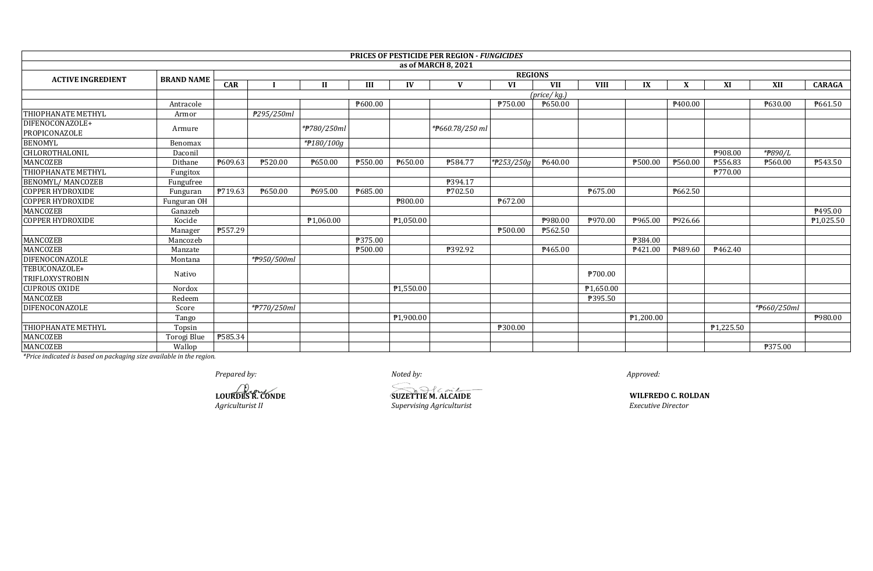|                                         |                   |            |             |             |         |           | <b>PRICES OF PESTICIDE PER REGION - FUNGICIDES</b> |            |                |             |                       |         |           |             |                |
|-----------------------------------------|-------------------|------------|-------------|-------------|---------|-----------|----------------------------------------------------|------------|----------------|-------------|-----------------------|---------|-----------|-------------|----------------|
|                                         |                   |            |             |             |         |           | as of MARCH 8, 2021                                |            |                |             |                       |         |           |             |                |
| <b>ACTIVE INGREDIENT</b>                | <b>BRAND NAME</b> |            |             |             |         |           |                                                    |            | <b>REGIONS</b> |             |                       |         |           |             |                |
|                                         |                   | <b>CAR</b> |             | H           | Ш       | IV        |                                                    | VI         | <b>VII</b>     | <b>VIII</b> | IX                    | X       | XI        | XII         | <b>CARAGA</b>  |
|                                         |                   |            |             |             |         |           |                                                    |            | (price/kg.)    |             |                       |         |           |             |                |
|                                         | Antracole         |            |             |             | P600.00 |           |                                                    | ₱750.00    | P650.00        |             |                       | P400.00 |           | P630.00     | P661.50        |
| <b>THIOPHANATE METHYL</b>               | Armor             |            | ₱295/250ml  |             |         |           |                                                    |            |                |             |                       |         |           |             |                |
| DIFENOCONAZOLE+<br>PROPICONAZOLE        | Armure            |            |             | *#780/250ml |         |           | *#660.78/250 ml                                    |            |                |             |                       |         |           |             |                |
| <b>BENOMYL</b>                          | Benomax           |            |             | *#180/100g  |         |           |                                                    |            |                |             |                       |         |           |             |                |
| CHLOROTHALONIL                          | Daconil           |            |             |             |         |           |                                                    |            |                |             |                       |         | ₱908.00   | *#890/L     |                |
| MANCOZEB                                | Dithane           | ₱609.63    | ₱520.00     | P650.00     | ₱550.00 | ₱650.00   | P584.77                                            | *#253/250g | P640.00        |             | P500.00               | ₱560.00 | ₱556.83   | P560.00     | <b>P543.50</b> |
| <b>THIOPHANATE METHYL</b>               | Fungitox          |            |             |             |         |           |                                                    |            |                |             |                       |         | ₱770.00   |             |                |
| <b>BENOMYL/ MANCOZEB</b>                | Fungufree         |            |             |             |         |           | P394.17                                            |            |                |             |                       |         |           |             |                |
| <b>COPPER HYDROXIDE</b>                 | Funguran          | ₱719.63    | P650.00     | P695.00     | ₹685.00 |           | P702.50                                            |            |                | P675.00     |                       | ₱662.50 |           |             |                |
| <b>COPPER HYDROXIDE</b>                 | Funguran OH       |            |             |             |         | ₱800.00   |                                                    | P672.00    |                |             |                       |         |           |             |                |
| MANCOZEB                                | Ganazeb           |            |             |             |         |           |                                                    |            |                |             |                       |         |           |             | P495.00        |
| <b>COPPER HYDROXIDE</b>                 | Kocide            |            |             | P1.060.00   |         | ₱1,050.00 |                                                    |            | ₱980.00        | ₱970.00     | P965.00               | P926.66 |           |             | P1,025.50      |
|                                         | Manager           | ₱557.29    |             |             |         |           |                                                    | ₱500.00    | ₱562.50        |             |                       |         |           |             |                |
| MANCOZEB                                | Mancozeb          |            |             |             | ₱375.00 |           |                                                    |            |                |             | P384.00               |         |           |             |                |
| <b>MANCOZEB</b>                         | Manzate           |            |             |             | ₱500.00 |           | ₱392.92                                            |            | P465.00        |             | P421.00               | P489.60 | ₹462.40   |             |                |
| DIFENOCONAZOLE                          | Montana           |            | *#950/500ml |             |         |           |                                                    |            |                |             |                       |         |           |             |                |
| TEBUCONAZOLE+<br><b>TRIFLOXYSTROBIN</b> | Nativo            |            |             |             |         |           |                                                    |            |                | ₱700.00     |                       |         |           |             |                |
| <b>CUPROUS OXIDE</b>                    | Nordox            |            |             |             |         | P1,550.00 |                                                    |            |                | P1,650.00   |                       |         |           |             |                |
| <b>MANCOZEB</b>                         | Redeem            |            |             |             |         |           |                                                    |            |                | P395.50     |                       |         |           |             |                |
| DIFENOCONAZOLE                          | Score             |            | *#770/250ml |             |         |           |                                                    |            |                |             |                       |         |           | *#660/250ml |                |
|                                         | Tango             |            |             |             |         | P1,900.00 |                                                    |            |                |             | P <sub>1,200.00</sub> |         |           |             | P980.00        |
| <b>THIOPHANATE METHYL</b>               | Topsin            |            |             |             |         |           |                                                    | ₱300.00    |                |             |                       |         | P1,225.50 |             |                |
| MANCOZEB                                | Torogi Blue       | ₱585.34    |             |             |         |           |                                                    |            |                |             |                       |         |           |             |                |
| <b>MANCOZEB</b>                         | Wallop            |            |             |             |         |           |                                                    |            |                |             |                       |         |           | ₱375.00     |                |

*Prepared by: Noted by: Approved:*

**Agriculturist II CONDE**<br>*Agriculturist II Supervising Agriculturist* 

**LOURDES R. CONDE SUZETTIE M. ALCAIDE**

**WILFREDO C. ROLDAN**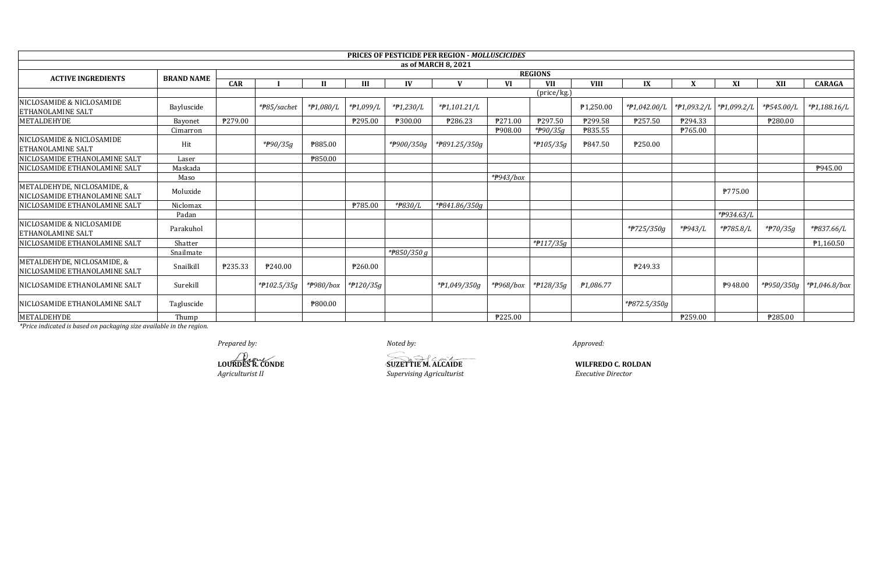|                                                              |                   |         |                          |                  |           |             | <b>PRICES OF PESTICIDE PER REGION - MOLLUSCICIDES</b> |           |                |                        |                           |                           |            |                       |                         |
|--------------------------------------------------------------|-------------------|---------|--------------------------|------------------|-----------|-------------|-------------------------------------------------------|-----------|----------------|------------------------|---------------------------|---------------------------|------------|-----------------------|-------------------------|
|                                                              |                   |         |                          |                  |           |             | as of MARCH 8, 2021                                   |           |                |                        |                           |                           |            |                       |                         |
| <b>ACTIVE INGREDIENTS</b>                                    | <b>BRAND NAME</b> |         |                          |                  |           |             |                                                       |           | <b>REGIONS</b> |                        |                           |                           |            |                       |                         |
|                                                              |                   | CAR     |                          | $\mathbf{H}$     | Ш         | IV          |                                                       | VI        | <b>VII</b>     | <b>VIII</b>            | IX                        | X                         | XI         | XII                   | <b>CARAGA</b>           |
|                                                              |                   |         |                          |                  |           |             |                                                       |           | (price/kg.)    |                        |                           |                           |            |                       |                         |
| NICLOSAMIDE & NICLOSAMIDE<br><b>ETHANOLAMINE SALT</b>        | Bayluscide        |         | * <del>P</del> 85/sachet | *#1,080/L        | *#1,099/L | *#1,230/L   | *#1,101.21/L                                          |           |                | P <sub>1,250.00</sub>  | *#1,042.00/L              | *#1,093.2/L   *#1,099.2/L |            | *P545.00/L            | *#1,188.16/L            |
| METALDEHYDE                                                  | Bayonet           | ₱279.00 |                          |                  | P295.00   | ₱300.00     | ₱286.23                                               | P271.00   | ₹297.50        | ₱299.58                | ₹257.50                   | P294.33                   |            | <b>\\$280.00</b>      |                         |
|                                                              | Cimarron          |         |                          |                  |           |             |                                                       | ₱908.00   | *#90/35g       | ₹835.55                |                           | <b>P765.00</b>            |            |                       |                         |
| NICLOSAMIDE & NICLOSAMIDE<br><b>ETHANOLAMINE SALT</b>        | Hit               |         | * <del>P</del> 90/35g    | <b>\\$885.00</b> |           | *#900/350g  | *P891.25/350g                                         |           | *#105/35g      | P847.50                | ₱250.00                   |                           |            |                       |                         |
| NICLOSAMIDE ETHANOLAMINE SALT                                | Laser             |         |                          | ₱850.00          |           |             |                                                       |           |                |                        |                           |                           |            |                       |                         |
| NICLOSAMIDE ETHANOLAMINE SALT                                | Maskada           |         |                          |                  |           |             |                                                       |           |                |                        |                           |                           |            |                       | ₱945.00                 |
|                                                              | Maso              |         |                          |                  |           |             |                                                       | *P943/box |                |                        |                           |                           |            |                       |                         |
| METALDEHYDE, NICLOSAMIDE, &<br>NICLOSAMIDE ETHANOLAMINE SALT | Moluxide          |         |                          |                  |           |             |                                                       |           |                |                        |                           |                           | ₱775.00    |                       |                         |
| NICLOSAMIDE ETHANOLAMINE SALT                                | Niclomax          |         |                          |                  | ₱785.00   | *P830/L     | *#841.86/350g                                         |           |                |                        |                           |                           |            |                       |                         |
|                                                              | Padan             |         |                          |                  |           |             |                                                       |           |                |                        |                           |                           | *P934.63/L |                       |                         |
| NICLOSAMIDE & NICLOSAMIDE<br><b>ETHANOLAMINE SALT</b>        | Parakuhol         |         |                          |                  |           |             |                                                       |           |                |                        | *#725/350g                | * <del>P</del> 943/L      | *#785.8/L  | * <del>P</del> 70/35g | * <del>P</del> 837.66/L |
| NICLOSAMIDE ETHANOLAMINE SALT                                | Shatter           |         |                          |                  |           |             |                                                       |           | $*P117/35g$    |                        |                           |                           |            |                       | P <sub>1,160.50</sub>   |
|                                                              | Snailmate         |         |                          |                  |           | *#850/350 g |                                                       |           |                |                        |                           |                           |            |                       |                         |
| METALDEHYDE, NICLOSAMIDE, &<br>NICLOSAMIDE ETHANOLAMINE SALT | Snailkill         | P235.33 | P240.00                  |                  | P260.00   |             |                                                       |           |                |                        | P249.33                   |                           |            |                       |                         |
| <b>NICLOSAMIDE ETHANOLAMINE SALT</b>                         | Surekill          |         | *#102.5/35g              | *#980/box        | *#120/35g |             | *#1,049/350g                                          | *#968/box | *#128/35g      | P <sub>1</sub> ,086.77 |                           |                           | P948.00    | *#950/350g            | $*P1,046.8/b$ ox        |
| NICLOSAMIDE ETHANOLAMINE SALT                                | Tagluscide        |         |                          | ₱800.00          |           |             |                                                       |           |                |                        | * <del>P</del> 872.5/350g |                           |            |                       |                         |
| METALDEHYDE                                                  | Thump             |         |                          |                  |           |             |                                                       | ₱225.00   |                |                        |                           | ₱259.00                   |            | ₱285.00               |                         |

Prepared by:

LOURDES R. CONDE Agriculturist II

Noted by:

**SUZETTIE M. ALCAIDE** Supervising Agriculturist

Approved:

**WILFREDO C. ROLDAN Executive Director**